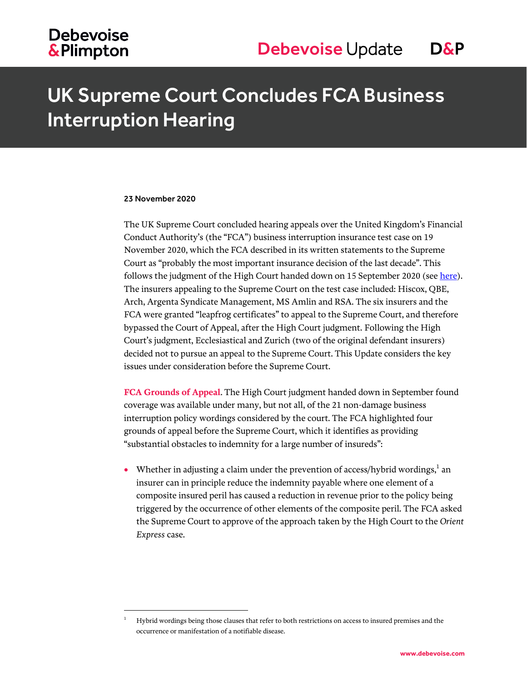## **Debevoise &Plimpton**

## UK Supreme Court Concludes FCA Business Interruption Hearing

#### 23 November 2020

 $\overline{a}$ 

The UK Supreme Court concluded hearing appeals over the United Kingdom's Financial Conduct Authority's (the "FCA") business interruption insurance test case on 19 November 2020, which the FCA described in its written statements to the Supreme Court as "probably the most important insurance decision of the last decade". This follows the judgment of the High Court handed down on 15 September 2020 (see [here\)](https://www.debevoise.com/insights/publications/2020/09/uk-fca-business-interruption-insurance-test-case). The insurers appealing to the Supreme Court on the test case included: Hiscox, QBE, Arch, Argenta Syndicate Management, MS Amlin and RSA. The six insurers and the FCA were granted "leapfrog certificates" to appeal to the Supreme Court, and therefore bypassed the Court of Appeal, after the High Court judgment. Following the High Court's judgment, Ecclesiastical and Zurich (two of the original defendant insurers) decided not to pursue an appeal to the Supreme Court. This Update considers the key issues under consideration before the Supreme Court.

**FCA Grounds of Appeal**. The High Court judgment handed down in September found coverage was available under many, but not all, of the 21 non-damage business interruption policy wordings considered by the court. The FCA highlighted four grounds of appeal before the Supreme Court, which it identifies as providing "substantial obstacles to indemnity for a large number of insureds":

• Whether in adjusting a claim under the prevention of access/hybrid wordings, $<sup>1</sup>$  an</sup> insurer can in principle reduce the indemnity payable where one element of a composite insured peril has caused a reduction in revenue prior to the policy being triggered by the occurrence of other elements of the composite peril. The FCA asked the Supreme Court to approve of the approach taken by the High Court to the *Orient Express* case.

<sup>1</sup> Hybrid wordings being those clauses that refer to both restrictions on access to insured premises and the occurrence or manifestation of a notifiable disease.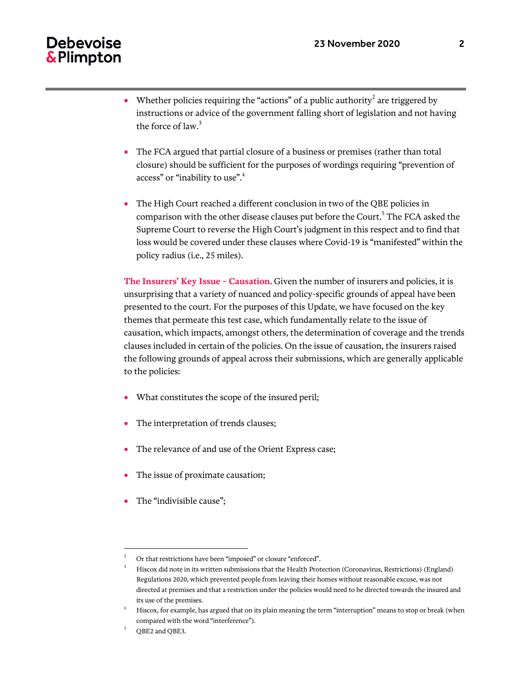### **Debevoise** & Plimpton

- Whether policies requiring the "actions" of a public authority<sup>2</sup> are triggered by instructions or advice of the government falling short of legislation and not having the force of law. $3$
- The FCA argued that partial closure of a business or premises (rather than total closure) should be sufficient for the purposes of wordings requiring "prevention of access" or "inability to use".<sup>4</sup>
- The High Court reached a different conclusion in two of the QBE policies in comparison with the other disease clauses put before the Court.<sup>5</sup> The FCA asked the Supreme Court to reverse the High Court's judgment in this respect and to find that loss would be covered under these clauses where Covid-19 is "manifested" within the policy radius (i.e., 25 miles).

**The Insurers' Key Issue – Causation**. Given the number of insurers and policies, it is unsurprising that a variety of nuanced and policy-specific grounds of appeal have been presented to the court. For the purposes of this Update, we have focused on the key themes that permeate this test case, which fundamentally relate to the issue of causation, which impacts, amongst others, the determination of coverage and the trends clauses included in certain of the policies. On the issue of causation, the insurers raised the following grounds of appeal across their submissions, which are generally applicable to the policies:

- What constitutes the scope of the insured peril;
- The interpretation of trends clauses;
- The relevance of and use of the Orient Express case;
- The issue of proximate causation;
- The "indivisible cause";

l

<sup>2</sup> Or that restrictions have been "imposed" or closure "enforced".

<sup>3</sup> Hiscox did note in its written submissions that the Health Protection (Coronavirus, Restrictions) (England) Regulations 2020, which prevented people from leaving their homes without reasonable excuse, was not directed at premises and that a restriction under the policies would need to be directed towards the insured and its use of the premises.

<sup>4</sup> Hiscox, for example, has argued that on its plain meaning the term "interruption" means to stop or break (when compared with the word "interference").

<sup>5</sup> QBE2 and QBE3.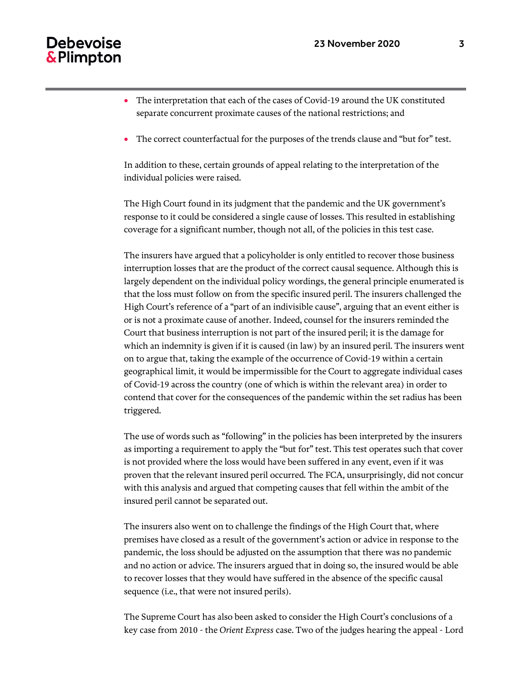#### Debevoise & Plimpton

- The interpretation that each of the cases of Covid-19 around the UK constituted separate concurrent proximate causes of the national restrictions; and
- The correct counterfactual for the purposes of the trends clause and "but for" test.

In addition to these, certain grounds of appeal relating to the interpretation of the individual policies were raised.

The High Court found in its judgment that the pandemic and the UK government's response to it could be considered a single cause of losses. This resulted in establishing coverage for a significant number, though not all, of the policies in this test case.

The insurers have argued that a policyholder is only entitled to recover those business interruption losses that are the product of the correct causal sequence. Although this is largely dependent on the individual policy wordings, the general principle enumerated is that the loss must follow on from the specific insured peril. The insurers challenged the High Court's reference of a "part of an indivisible cause", arguing that an event either is or is not a proximate cause of another. Indeed, counsel for the insurers reminded the Court that business interruption is not part of the insured peril; it is the damage for which an indemnity is given if it is caused (in law) by an insured peril. The insurers went on to argue that, taking the example of the occurrence of Covid-19 within a certain geographical limit, it would be impermissible for the Court to aggregate individual cases of Covid-19 across the country (one of which is within the relevant area) in order to contend that cover for the consequences of the pandemic within the set radius has been triggered.

The use of words such as "following" in the policies has been interpreted by the insurers as importing a requirement to apply the "but for" test. This test operates such that cover is not provided where the loss would have been suffered in any event, even if it was proven that the relevant insured peril occurred. The FCA, unsurprisingly, did not concur with this analysis and argued that competing causes that fell within the ambit of the insured peril cannot be separated out.

The insurers also went on to challenge the findings of the High Court that, where premises have closed as a result of the government's action or advice in response to the pandemic, the loss should be adjusted on the assumption that there was no pandemic and no action or advice. The insurers argued that in doing so, the insured would be able to recover losses that they would have suffered in the absence of the specific causal sequence (i.e., that were not insured perils).

The Supreme Court has also been asked to consider the High Court's conclusions of a key case from 2010 - the *Orient Express* case. Two of the judges hearing the appeal - Lord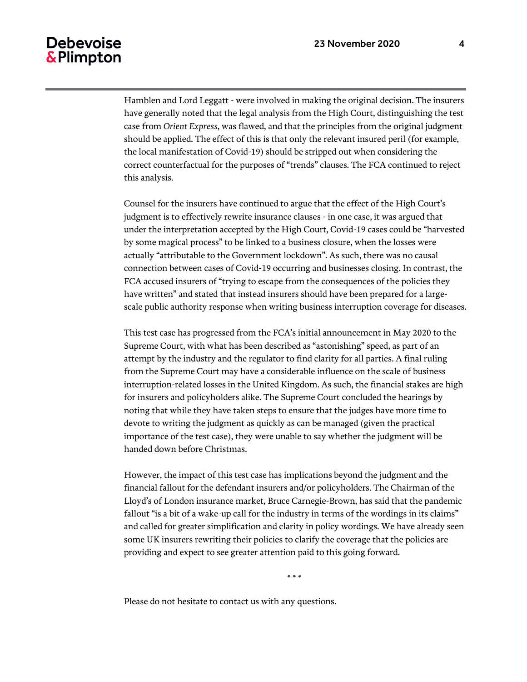#### **Debevoise** & Plimpton

Hamblen and Lord Leggatt - were involved in making the original decision. The insurers have generally noted that the legal analysis from the High Court, distinguishing the test case from *Orient Express*, was flawed, and that the principles from the original judgment should be applied. The effect of this is that only the relevant insured peril (for example, the local manifestation of Covid-19) should be stripped out when considering the correct counterfactual for the purposes of "trends" clauses. The FCA continued to reject this analysis.

Counsel for the insurers have continued to argue that the effect of the High Court's judgment is to effectively rewrite insurance clauses - in one case, it was argued that under the interpretation accepted by the High Court, Covid-19 cases could be "harvested by some magical process" to be linked to a business closure, when the losses were actually "attributable to the Government lockdown". As such, there was no causal connection between cases of Covid-19 occurring and businesses closing. In contrast, the FCA accused insurers of "trying to escape from the consequences of the policies they have written" and stated that instead insurers should have been prepared for a largescale public authority response when writing business interruption coverage for diseases.

This test case has progressed from the FCA's initial announcement in May 2020 to the Supreme Court, with what has been described as "astonishing" speed, as part of an attempt by the industry and the regulator to find clarity for all parties. A final ruling from the Supreme Court may have a considerable influence on the scale of business interruption-related losses in the United Kingdom. As such, the financial stakes are high for insurers and policyholders alike. The Supreme Court concluded the hearings by noting that while they have taken steps to ensure that the judges have more time to devote to writing the judgment as quickly as can be managed (given the practical importance of the test case), they were unable to say whether the judgment will be handed down before Christmas.

However, the impact of this test case has implications beyond the judgment and the financial fallout for the defendant insurers and/or policyholders. The Chairman of the Lloyd's of London insurance market, Bruce Carnegie-Brown, has said that the pandemic fallout "is a bit of a wake-up call for the industry in terms of the wordings in its claims" and called for greater simplification and clarity in policy wordings. We have already seen some UK insurers rewriting their policies to clarify the coverage that the policies are providing and expect to see greater attention paid to this going forward.

\* \* \*

Please do not hesitate to contact us with any questions.